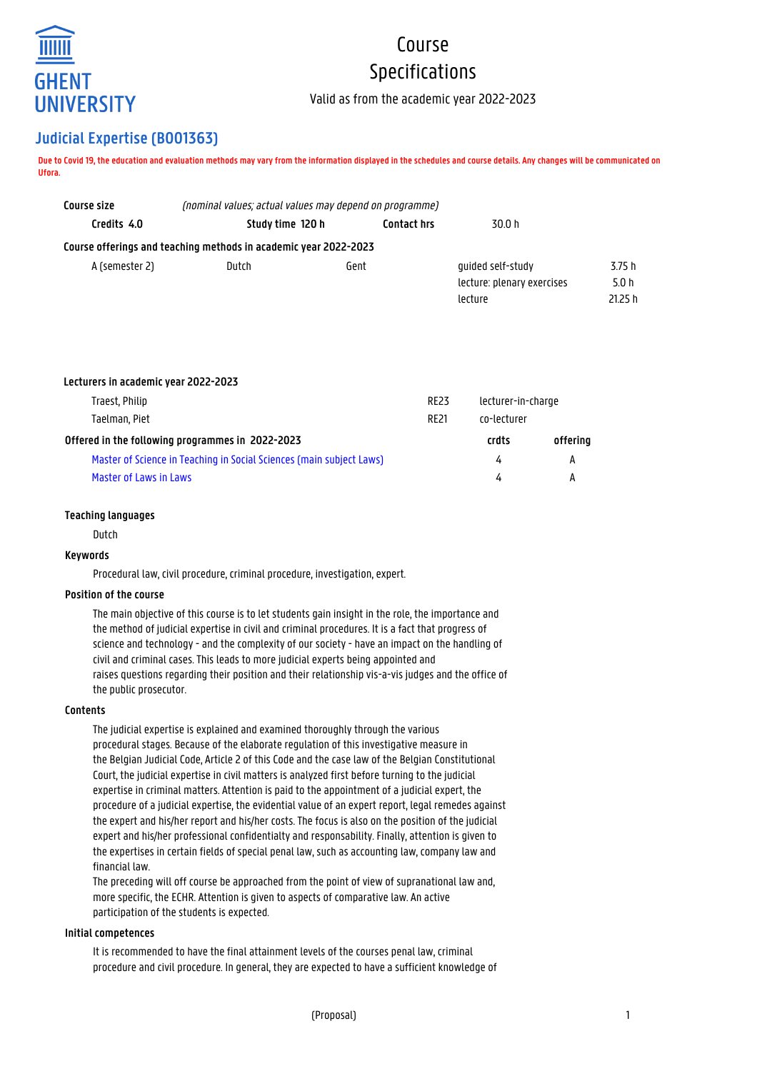

# Course Specifications

Valid as from the academic year 2022-2023

# **Judicial Expertise (B001363)**

**Due to Covid 19, the education and evaluation methods may vary from the information displayed in the schedules and course details. Any changes will be communicated on Ufora.**

| Course size    | (nominal values; actual values may depend on programme)          |      |                                                            |                           |  |
|----------------|------------------------------------------------------------------|------|------------------------------------------------------------|---------------------------|--|
| Credits 4.0    | Study time 120 h<br><b>Contact hrs</b>                           |      | 30.0 h                                                     |                           |  |
|                | Course offerings and teaching methods in academic year 2022-2023 |      |                                                            |                           |  |
| A (semester 2) | Dutch                                                            | Gent | quided self-study<br>lecture: plenary exercises<br>lecture | 3.75 h<br>5.0 h<br>21.25h |  |

| Lecturers in academic year 2022-2023                                 |             |                    |          |
|----------------------------------------------------------------------|-------------|--------------------|----------|
| Traest, Philip                                                       | <b>RE23</b> | lecturer-in-charge |          |
| Taelman, Piet                                                        | <b>RF21</b> | co-lecturer        |          |
| Offered in the following programmes in 2022-2023                     |             | crdts              | offering |
| Master of Science in Teaching in Social Sciences (main subject Laws) |             | 4                  | А        |
| Master of Laws in Laws                                               |             | 4                  | А        |

# **Teaching languages**

Dutch

# **Keywords**

Procedural law, civil procedure, criminal procedure, investigation, expert.

# **Position of the course**

The main objective of this course is to let students gain insight in the role, the importance and the method of judicial expertise in civil and criminal procedures. It is a fact that progress of science and technology - and the complexity of our society - have an impact on the handling of civil and criminal cases. This leads to more judicial experts being appointed and raises questions regarding their position and their relationship vis-a-vis judges and the office of the public prosecutor.

# **Contents**

The judicial expertise is explained and examined thoroughly through the various procedural stages. Because of the elaborate regulation of this investigative measure in the Belgian Judicial Code, Article 2 of this Code and the case law of the Belgian Constitutional Court, the judicial expertise in civil matters is analyzed first before turning to the judicial expertise in criminal matters. Attention is paid to the appointment of a judicial expert, the procedure of a judicial expertise, the evidential value of an expert report, legal remedes against the expert and his/her report and his/her costs. The focus is also on the position of the judicial expert and his/her professional confidentialty and responsability. Finally, attention is given to the expertises in certain fields of special penal law, such as accounting law, company law and financial law.

The preceding will off course be approached from the point of view of supranational law and, more specific, the ECHR. Attention is given to aspects of comparative law. An active participation of the students is expected.

#### **Initial competences**

It is recommended to have the final attainment levels of the courses penal law, criminal procedure and civil procedure. In general, they are expected to have a sufficient knowledge of